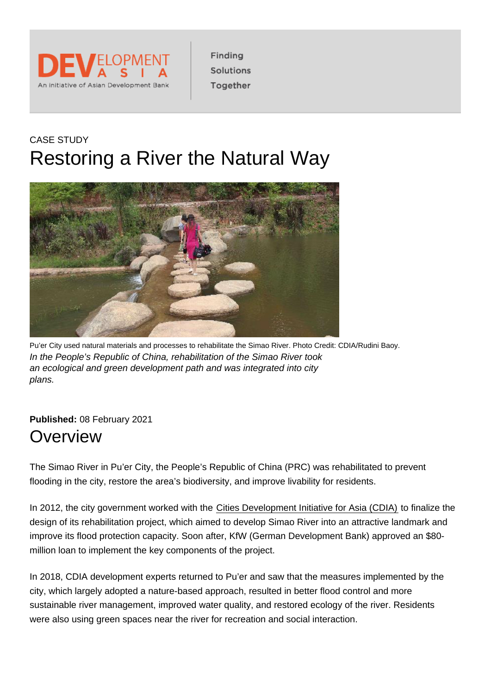### CASE STUDY Restoring a River the Natural Way

Pu'er City used natural materials and processes to rehabilitate the Simao River. Photo Credit: CDIA/Rudini Baoy. In the People's Republic of China, rehabilitation of the Simao River took an ecological and green development path and was integrated into city plans.

Published: 08 February 2021

### **Overview**

The Simao River in Pu'er City, the People's Republic of China (PRC) was rehabilitated to prevent flooding in the city, restore the area's biodiversity, and improve livability for residents.

In 2012, the city government worked with the [Cities Development Initiative for Asia \(CDIA\)](https://www.cdia.asia/) to finalize the design of its rehabilitation project, which aimed to develop Simao River into an attractive landmark and improve its flood protection capacity. Soon after, KfW (German Development Bank) approved an \$80 million loan to implement the key components of the project.

In 2018, CDIA development experts returned to Pu'er and saw that the measures implemented by the city, which largely adopted a nature-based approach, resulted in better flood control and more sustainable river management, improved water quality, and restored ecology of the river. Residents were also using green spaces near the river for recreation and social interaction.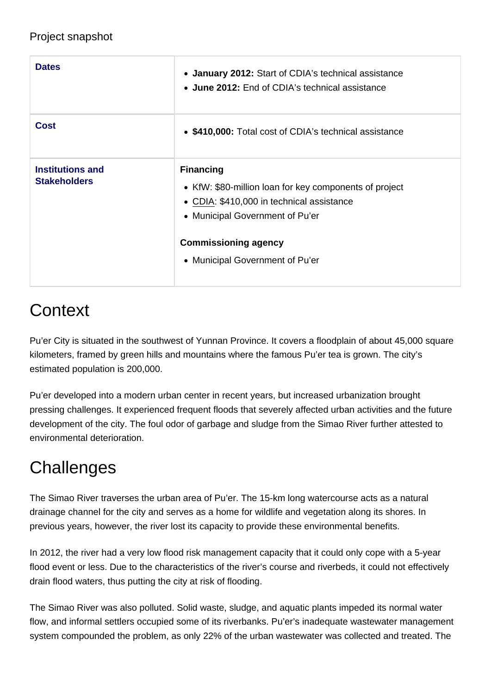| <b>Dates</b>                            | • January 2012: Start of CDIA's technical assistance<br>• June 2012: End of CDIA's technical assistance                                                                                                        |
|-----------------------------------------|----------------------------------------------------------------------------------------------------------------------------------------------------------------------------------------------------------------|
| Cost                                    | • \$410,000: Total cost of CDIA's technical assistance                                                                                                                                                         |
| Institutions and<br><b>Stakeholders</b> | Financing<br>• KfW: \$80-million loan for key components of project<br>• CDIA: \$410,000 in technical assistance<br>• Municipal Government of Pu'er<br>Commissioning agency<br>• Municipal Government of Pu'er |

# **Context**

Pu'er City is situated in the southwest of Yunnan Province. It covers a floodplain of about 45,000 square kilometers, framed by green hills and mountains where the famous Pu'er tea is grown. The city's estimated population is 200,000.

Pu'er developed into a modern urban center in recent years, but increased urbanization brought pressing challenges. It experienced frequent floods that severely affected urban activities and the future development of the city. The foul odor of garbage and sludge from the Simao River further attested to environmental deterioration.

# **Challenges**

The Simao River traverses the urban area of Pu'er. The 15-km long watercourse acts as a natural drainage channel for the city and serves as a home for wildlife and vegetation along its shores. In previous years, however, the river lost its capacity to provide these environmental benefits.

In 2012, the river had a very low flood risk management capacity that it could only cope with a 5-year flood event or less. Due to the characteristics of the river's course and riverbeds, it could not effectively drain flood waters, thus putting the city at risk of flooding.

The Simao River was also polluted. Solid waste, sludge, and aquatic plants impeded its normal water flow, and informal settlers occupied some of its riverbanks. Pu'er's inadequate wastewater management system compounded the problem, as only 22% of the urban wastewater was collected and treated. The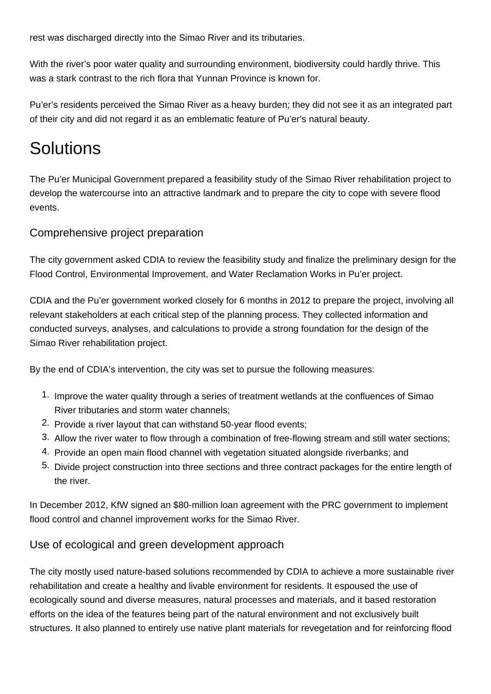rest was discharged directly into the Simao River and its tributaries.

With the river's poor water quality and surrounding environment, biodiversity could hardly thrive. This was a stark contrast to the rich flora that Yunnan Province is known for.

Pu'er's residents perceived the Simao River as a heavy burden; they did not see it as an integrated part of their city and did not regard it as an emblematic feature of Pu'er's natural beauty.

# **Solutions**

The Pu'er Municipal Government prepared a feasibility study of the Simao River rehabilitation project to develop the watercourse into an attractive landmark and to prepare the city to cope with severe flood events.

#### Comprehensive project preparation

The city government asked CDIA to review the feasibility study and finalize the preliminary design for the Flood Control, Environmental Improvement, and Water Reclamation Works in Pu'er project.

CDIA and the Pu'er government worked closely for 6 months in 2012 to prepare the project, involving all relevant stakeholders at each critical step of the planning process. They collected information and conducted surveys, analyses, and calculations to provide a strong foundation for the design of the Simao River rehabilitation project.

By the end of CDIA's intervention, the city was set to pursue the following measures:

- 1. Improve the water quality through a series of treatment wetlands at the confluences of Simao River tributaries and storm water channels;
- 2. Provide a river layout that can withstand 50-year flood events;
- 3. Allow the river water to flow through a combination of free-flowing stream and still water sections;
- 4. Provide an open main flood channel with vegetation situated alongside riverbanks; and
- 5. Divide project construction into three sections and three contract packages for the entire length of the river.

In December 2012, KfW signed an \$80-million loan agreement with the PRC government to implement flood control and channel improvement works for the Simao River.

#### Use of ecological and green development approach

The city mostly used nature-based solutions recommended by CDIA to achieve a more sustainable river rehabilitation and create a healthy and livable environment for residents. It espoused the use of ecologically sound and diverse measures, natural processes and materials, and it based restoration efforts on the idea of the features being part of the natural environment and not exclusively built structures. It also planned to entirely use native plant materials for revegetation and for reinforcing flood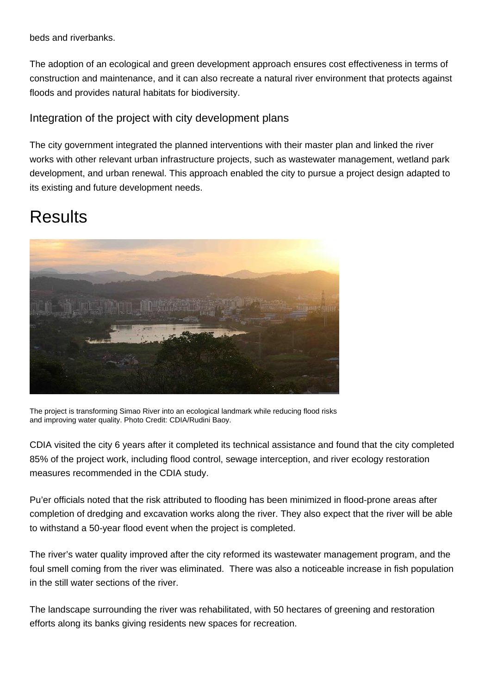beds and riverbanks.

The adoption of an ecological and green development approach ensures cost effectiveness in terms of construction and maintenance, and it can also recreate a natural river environment that protects against floods and provides natural habitats for biodiversity.

#### Integration of the project with city development plans

The city government integrated the planned interventions with their master plan and linked the river works with other relevant urban infrastructure projects, such as wastewater management, wetland park development, and urban renewal. This approach enabled the city to pursue a project design adapted to its existing and future development needs.

### **Results**



The project is transforming Simao River into an ecological landmark while reducing flood risks and improving water quality. Photo Credit: CDIA/Rudini Baoy.

CDIA visited the city 6 years after it completed its technical assistance and found that the city completed 85% of the project work, including flood control, sewage interception, and river ecology restoration measures recommended in the CDIA study.

Pu'er officials noted that the risk attributed to flooding has been minimized in flood-prone areas after completion of dredging and excavation works along the river. They also expect that the river will be able to withstand a 50-year flood event when the project is completed.

The river's water quality improved after the city reformed its wastewater management program, and the foul smell coming from the river was eliminated. There was also a noticeable increase in fish population in the still water sections of the river.

The landscape surrounding the river was rehabilitated, with 50 hectares of greening and restoration efforts along its banks giving residents new spaces for recreation.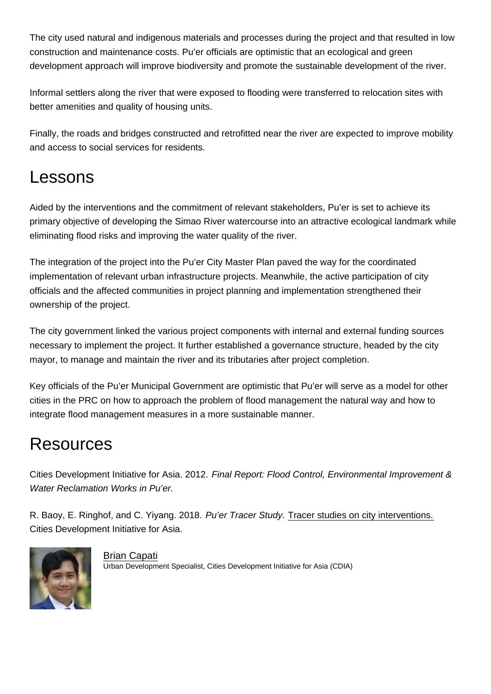The city used natural and indigenous materials and processes during the project and that resulted in low construction and maintenance costs. Pu'er officials are optimistic that an ecological and green development approach will improve biodiversity and promote the sustainable development of the river.

Informal settlers along the river that were exposed to flooding were transferred to relocation sites with better amenities and quality of housing units.

Finally, the roads and bridges constructed and retrofitted near the river are expected to improve mobility and access to social services for residents.

### Lessons

Aided by the interventions and the commitment of relevant stakeholders, Pu'er is set to achieve its primary objective of developing the Simao River watercourse into an attractive ecological landmark while eliminating flood risks and improving the water quality of the river.

The integration of the project into the Pu'er City Master Plan paved the way for the coordinated implementation of relevant urban infrastructure projects. Meanwhile, the active participation of city officials and the affected communities in project planning and implementation strengthened their ownership of the project.

The city government linked the various project components with internal and external funding sources necessary to implement the project. It further established a governance structure, headed by the city mayor, to manage and maintain the river and its tributaries after project completion.

Key officials of the Pu'er Municipal Government are optimistic that Pu'er will serve as a model for other cities in the PRC on how to approach the problem of flood management the natural way and how to integrate flood management measures in a more sustainable manner.

# **Resources**

Cities Development Initiative for Asia. 2012. Final Report: Flood Control, Environmental Improvement & Water Reclamation Works in Pu'er.

R. Baoy, E. Ringhof, and C. Yiyang. 2018. Pu'er Tracer Study. [Tracer studies on city interventions.](https://cdia.asia/tracer-studies/) Cities Development Initiative for Asia.

> [Brian Capati](https://development.asia/node/6226) Urban Development Specialist, Cities Development Initiative for Asia (CDIA)